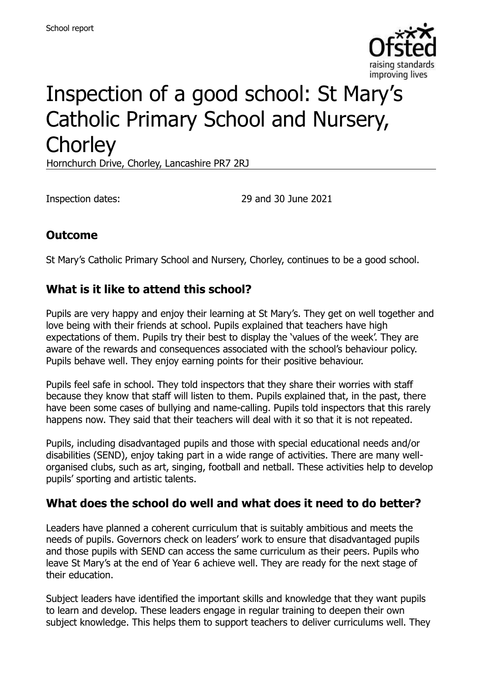

# Inspection of a good school: St Mary's Catholic Primary School and Nursery, **Chorley**

Hornchurch Drive, Chorley, Lancashire PR7 2RJ

Inspection dates: 29 and 30 June 2021

# **Outcome**

St Mary's Catholic Primary School and Nursery, Chorley, continues to be a good school.

#### **What is it like to attend this school?**

Pupils are very happy and enjoy their learning at St Mary's. They get on well together and love being with their friends at school. Pupils explained that teachers have high expectations of them. Pupils try their best to display the 'values of the week'. They are aware of the rewards and consequences associated with the school's behaviour policy. Pupils behave well. They enjoy earning points for their positive behaviour.

Pupils feel safe in school. They told inspectors that they share their worries with staff because they know that staff will listen to them. Pupils explained that, in the past, there have been some cases of bullying and name-calling. Pupils told inspectors that this rarely happens now. They said that their teachers will deal with it so that it is not repeated.

Pupils, including disadvantaged pupils and those with special educational needs and/or disabilities (SEND), enjoy taking part in a wide range of activities. There are many wellorganised clubs, such as art, singing, football and netball. These activities help to develop pupils' sporting and artistic talents.

#### **What does the school do well and what does it need to do better?**

Leaders have planned a coherent curriculum that is suitably ambitious and meets the needs of pupils. Governors check on leaders' work to ensure that disadvantaged pupils and those pupils with SEND can access the same curriculum as their peers. Pupils who leave St Mary's at the end of Year 6 achieve well. They are ready for the next stage of their education.

Subject leaders have identified the important skills and knowledge that they want pupils to learn and develop. These leaders engage in regular training to deepen their own subject knowledge. This helps them to support teachers to deliver curriculums well. They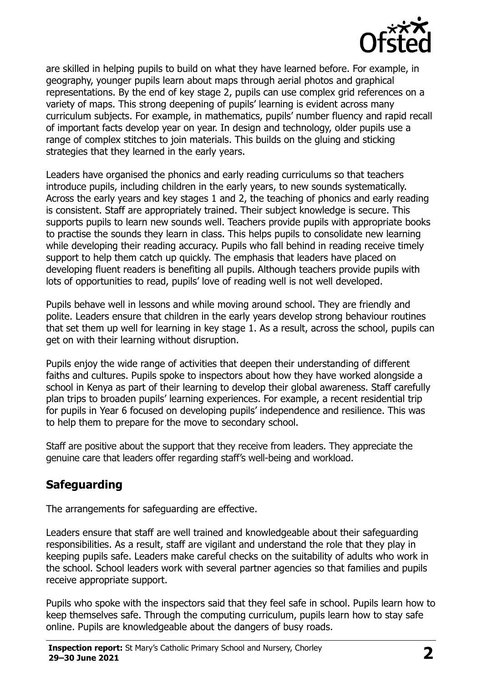

are skilled in helping pupils to build on what they have learned before. For example, in geography, younger pupils learn about maps through aerial photos and graphical representations. By the end of key stage 2, pupils can use complex grid references on a variety of maps. This strong deepening of pupils' learning is evident across many curriculum subjects. For example, in mathematics, pupils' number fluency and rapid recall of important facts develop year on year. In design and technology, older pupils use a range of complex stitches to join materials. This builds on the gluing and sticking strategies that they learned in the early years.

Leaders have organised the phonics and early reading curriculums so that teachers introduce pupils, including children in the early years, to new sounds systematically. Across the early years and key stages 1 and 2, the teaching of phonics and early reading is consistent. Staff are appropriately trained. Their subject knowledge is secure. This supports pupils to learn new sounds well. Teachers provide pupils with appropriate books to practise the sounds they learn in class. This helps pupils to consolidate new learning while developing their reading accuracy. Pupils who fall behind in reading receive timely support to help them catch up quickly. The emphasis that leaders have placed on developing fluent readers is benefiting all pupils. Although teachers provide pupils with lots of opportunities to read, pupils' love of reading well is not well developed.

Pupils behave well in lessons and while moving around school. They are friendly and polite. Leaders ensure that children in the early years develop strong behaviour routines that set them up well for learning in key stage 1. As a result, across the school, pupils can get on with their learning without disruption.

Pupils enjoy the wide range of activities that deepen their understanding of different faiths and cultures. Pupils spoke to inspectors about how they have worked alongside a school in Kenya as part of their learning to develop their global awareness. Staff carefully plan trips to broaden pupils' learning experiences. For example, a recent residential trip for pupils in Year 6 focused on developing pupils' independence and resilience. This was to help them to prepare for the move to secondary school.

Staff are positive about the support that they receive from leaders. They appreciate the genuine care that leaders offer regarding staff's well-being and workload.

# **Safeguarding**

The arrangements for safeguarding are effective.

Leaders ensure that staff are well trained and knowledgeable about their safeguarding responsibilities. As a result, staff are vigilant and understand the role that they play in keeping pupils safe. Leaders make careful checks on the suitability of adults who work in the school. School leaders work with several partner agencies so that families and pupils receive appropriate support.

Pupils who spoke with the inspectors said that they feel safe in school. Pupils learn how to keep themselves safe. Through the computing curriculum, pupils learn how to stay safe online. Pupils are knowledgeable about the dangers of busy roads.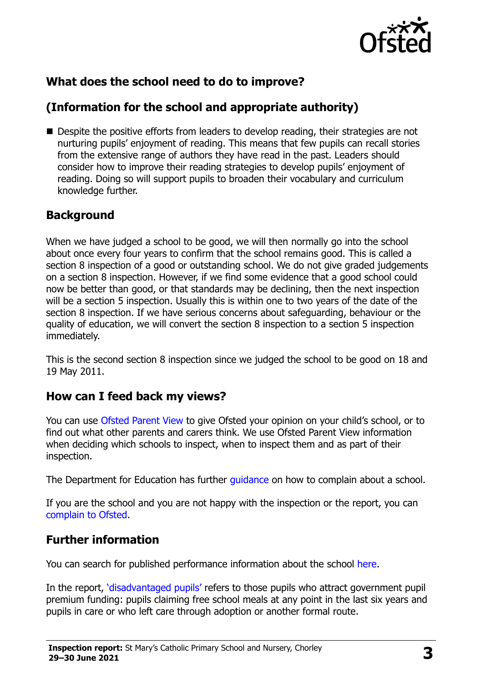

# **What does the school need to do to improve?**

# **(Information for the school and appropriate authority)**

■ Despite the positive efforts from leaders to develop reading, their strategies are not nurturing pupils' enjoyment of reading. This means that few pupils can recall stories from the extensive range of authors they have read in the past. Leaders should consider how to improve their reading strategies to develop pupils' enjoyment of reading. Doing so will support pupils to broaden their vocabulary and curriculum knowledge further.

## **Background**

When we have judged a school to be good, we will then normally go into the school about once every four years to confirm that the school remains good. This is called a section 8 inspection of a good or outstanding school. We do not give graded judgements on a section 8 inspection. However, if we find some evidence that a good school could now be better than good, or that standards may be declining, then the next inspection will be a section 5 inspection. Usually this is within one to two years of the date of the section 8 inspection. If we have serious concerns about safeguarding, behaviour or the quality of education, we will convert the section 8 inspection to a section 5 inspection immediately.

This is the second section 8 inspection since we judged the school to be good on 18 and 19 May 2011.

#### **How can I feed back my views?**

You can use [Ofsted Parent View](https://parentview.ofsted.gov.uk/) to give Ofsted your opinion on your child's school, or to find out what other parents and carers think. We use Ofsted Parent View information when deciding which schools to inspect, when to inspect them and as part of their inspection.

The Department for Education has further quidance on how to complain about a school.

If you are the school and you are not happy with the inspection or the report, you can [complain to Ofsted.](https://www.gov.uk/complain-ofsted-report)

#### **Further information**

You can search for published performance information about the school [here.](http://www.compare-school-performance.service.gov.uk/)

In the report, '[disadvantaged pupils](http://www.gov.uk/guidance/pupil-premium-information-for-schools-and-alternative-provision-settings)' refers to those pupils who attract government pupil premium funding: pupils claiming free school meals at any point in the last six years and pupils in care or who left care through adoption or another formal route.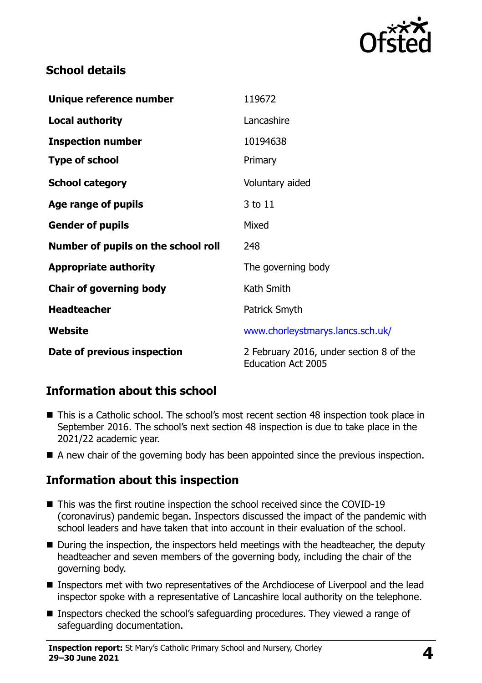

## **School details**

| Unique reference number             | 119672                                                               |
|-------------------------------------|----------------------------------------------------------------------|
| <b>Local authority</b>              | Lancashire                                                           |
| <b>Inspection number</b>            | 10194638                                                             |
| <b>Type of school</b>               | Primary                                                              |
| <b>School category</b>              | Voluntary aided                                                      |
| Age range of pupils                 | 3 to 11                                                              |
| <b>Gender of pupils</b>             | Mixed                                                                |
| Number of pupils on the school roll | 248                                                                  |
| <b>Appropriate authority</b>        | The governing body                                                   |
| <b>Chair of governing body</b>      | Kath Smith                                                           |
| <b>Headteacher</b>                  | Patrick Smyth                                                        |
| <b>Website</b>                      | www.chorleystmarys.lancs.sch.uk/                                     |
| Date of previous inspection         | 2 February 2016, under section 8 of the<br><b>Education Act 2005</b> |

# **Information about this school**

- This is a Catholic school. The school's most recent section 48 inspection took place in September 2016. The school's next section 48 inspection is due to take place in the 2021/22 academic year.
- A new chair of the governing body has been appointed since the previous inspection.

#### **Information about this inspection**

- This was the first routine inspection the school received since the COVID-19 (coronavirus) pandemic began. Inspectors discussed the impact of the pandemic with school leaders and have taken that into account in their evaluation of the school.
- During the inspection, the inspectors held meetings with the headteacher, the deputy headteacher and seven members of the governing body, including the chair of the governing body.
- Inspectors met with two representatives of the Archdiocese of Liverpool and the lead inspector spoke with a representative of Lancashire local authority on the telephone.
- Inspectors checked the school's safeguarding procedures. They viewed a range of safeguarding documentation.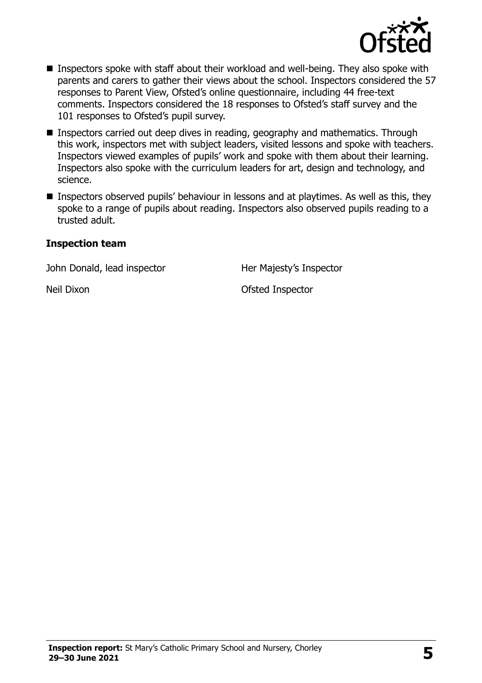

- Inspectors spoke with staff about their workload and well-being. They also spoke with parents and carers to gather their views about the school. Inspectors considered the 57 responses to Parent View, Ofsted's online questionnaire, including 44 free-text comments. Inspectors considered the 18 responses to Ofsted's staff survey and the 101 responses to Ofsted's pupil survey.
- **Inspectors carried out deep dives in reading, geography and mathematics. Through** this work, inspectors met with subject leaders, visited lessons and spoke with teachers. Inspectors viewed examples of pupils' work and spoke with them about their learning. Inspectors also spoke with the curriculum leaders for art, design and technology, and science.
- **Inspectors observed pupils' behaviour in lessons and at playtimes. As well as this, they** spoke to a range of pupils about reading. Inspectors also observed pupils reading to a trusted adult.

#### **Inspection team**

John Donald, lead inspector Her Majesty's Inspector

Neil Dixon **Neil Dixon** Ofsted Inspector